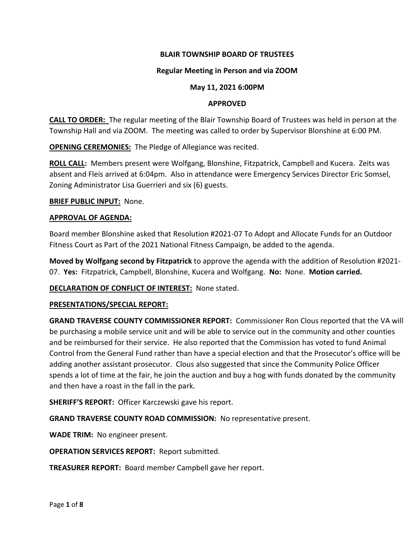## **BLAIR TOWNSHIP BOARD OF TRUSTEES**

### **Regular Meeting in Person and via ZOOM**

#### **May 11, 2021 6:00PM**

#### **APPROVED**

**CALL TO ORDER:** The regular meeting of the Blair Township Board of Trustees was held in person at the Township Hall and via ZOOM. The meeting was called to order by Supervisor Blonshine at 6:00 PM.

**OPENING CEREMONIES:** The Pledge of Allegiance was recited.

**ROLL CALL:** Members present were Wolfgang, Blonshine, Fitzpatrick, Campbell and Kucera. Zeits was absent and Fleis arrived at 6:04pm. Also in attendance were Emergency Services Director Eric Somsel, Zoning Administrator Lisa Guerrieri and six (6) guests.

### **BRIEF PUBLIC INPUT:** None.

### **APPROVAL OF AGENDA:**

Board member Blonshine asked that Resolution #2021-07 To Adopt and Allocate Funds for an Outdoor Fitness Court as Part of the 2021 National Fitness Campaign, be added to the agenda.

**Moved by Wolfgang second by Fitzpatrick** to approve the agenda with the addition of Resolution #2021- 07. **Yes:** Fitzpatrick, Campbell, Blonshine, Kucera and Wolfgang. **No:** None. **Motion carried.**

## **DECLARATION OF CONFLICT OF INTEREST:** None stated.

## **PRESENTATIONS/SPECIAL REPORT:**

**GRAND TRAVERSE COUNTY COMMISSIONER REPORT:** Commissioner Ron Clous reported that the VA will be purchasing a mobile service unit and will be able to service out in the community and other counties and be reimbursed for their service. He also reported that the Commission has voted to fund Animal Control from the General Fund rather than have a special election and that the Prosecutor's office will be adding another assistant prosecutor. Clous also suggested that since the Community Police Officer spends a lot of time at the fair, he join the auction and buy a hog with funds donated by the community and then have a roast in the fall in the park.

**SHERIFF'S REPORT:** Officer Karczewski gave his report.

**GRAND TRAVERSE COUNTY ROAD COMMISSION:** No representative present.

**WADE TRIM:** No engineer present.

**OPERATION SERVICES REPORT:** Report submitted.

**TREASURER REPORT:** Board member Campbell gave her report.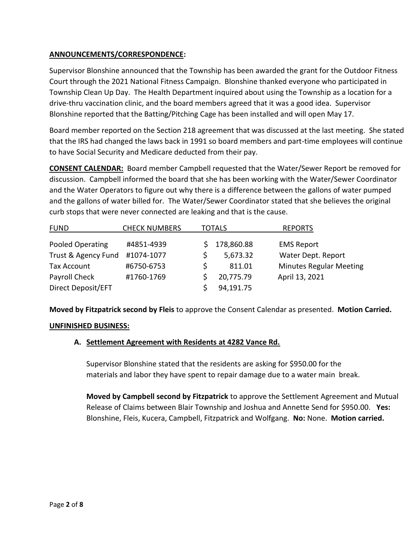## **ANNOUNCEMENTS/CORRESPONDENCE:**

Supervisor Blonshine announced that the Township has been awarded the grant for the Outdoor Fitness Court through the 2021 National Fitness Campaign. Blonshine thanked everyone who participated in Township Clean Up Day. The Health Department inquired about using the Township as a location for a drive-thru vaccination clinic, and the board members agreed that it was a good idea. Supervisor Blonshine reported that the Batting/Pitching Cage has been installed and will open May 17.

Board member reported on the Section 218 agreement that was discussed at the last meeting. She stated that the IRS had changed the laws back in 1991 so board members and part-time employees will continue to have Social Security and Medicare deducted from their pay.

**CONSENT CALENDAR:** Board member Campbell requested that the Water/Sewer Report be removed for discussion. Campbell informed the board that she has been working with the Water/Sewer Coordinator and the Water Operators to figure out why there is a difference between the gallons of water pumped and the gallons of water billed for. The Water/Sewer Coordinator stated that she believes the original curb stops that were never connected are leaking and that is the cause.

| <b>FUND</b>         | <b>CHECK NUMBERS</b> | <b>TOTALS</b> |            | <b>REPORTS</b>                 |
|---------------------|----------------------|---------------|------------|--------------------------------|
|                     |                      |               |            |                                |
| Pooled Operating    | #4851-4939           |               | 178,860.88 | <b>EMS Report</b>              |
| Trust & Agency Fund | #1074-1077           |               | 5,673.32   | Water Dept. Report             |
| <b>Tax Account</b>  | #6750-6753           |               | 811.01     | <b>Minutes Regular Meeting</b> |
| Payroll Check       | #1760-1769           |               | 20,775.79  | April 13, 2021                 |
| Direct Deposit/EFT  |                      |               | 94,191.75  |                                |

**Moved by Fitzpatrick second by Fleis** to approve the Consent Calendar as presented. **Motion Carried.**

## **UNFINISHED BUSINESS:**

## **A. Settlement Agreement with Residents at 4282 Vance Rd.**

Supervisor Blonshine stated that the residents are asking for \$950.00 for the materials and labor they have spent to repair damage due to a water main break.

**Moved by Campbell second by Fitzpatrick** to approve the Settlement Agreement and Mutual Release of Claims between Blair Township and Joshua and Annette Send for \$950.00. **Yes:** Blonshine, Fleis, Kucera, Campbell, Fitzpatrick and Wolfgang. **No:** None. **Motion carried.**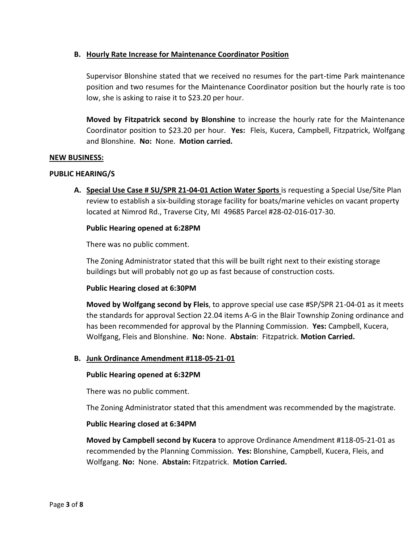## **B. Hourly Rate Increase for Maintenance Coordinator Position**

Supervisor Blonshine stated that we received no resumes for the part-time Park maintenance position and two resumes for the Maintenance Coordinator position but the hourly rate is too low, she is asking to raise it to \$23.20 per hour.

**Moved by Fitzpatrick second by Blonshine** to increase the hourly rate for the Maintenance Coordinator position to \$23.20 per hour. **Yes:** Fleis, Kucera, Campbell, Fitzpatrick, Wolfgang and Blonshine. **No:** None. **Motion carried.**

## **NEW BUSINESS:**

### **PUBLIC HEARING/S**

**A. Special Use Case # SU/SPR 21-04-01 Action Water Sports** is requesting a Special Use/Site Plan review to establish a six-building storage facility for boats/marine vehicles on vacant property located at Nimrod Rd., Traverse City, MI 49685 Parcel #28-02-016-017-30.

### **Public Hearing opened at 6:28PM**

There was no public comment.

The Zoning Administrator stated that this will be built right next to their existing storage buildings but will probably not go up as fast because of construction costs.

## **Public Hearing closed at 6:30PM**

**Moved by Wolfgang second by Fleis**, to approve special use case #SP/SPR 21-04-01 as it meets the standards for approval Section 22.04 items A-G in the Blair Township Zoning ordinance and has been recommended for approval by the Planning Commission. **Yes:** Campbell, Kucera, Wolfgang, Fleis and Blonshine. **No:** None. **Abstain**: Fitzpatrick. **Motion Carried.**

## **B. Junk Ordinance Amendment #118-05-21-01**

#### **Public Hearing opened at 6:32PM**

There was no public comment.

The Zoning Administrator stated that this amendment was recommended by the magistrate.

### **Public Hearing closed at 6:34PM**

**Moved by Campbell second by Kucera** to approve Ordinance Amendment #118-05-21-01 as recommended by the Planning Commission. **Yes:** Blonshine, Campbell, Kucera, Fleis, and Wolfgang. **No:** None. **Abstain:** Fitzpatrick. **Motion Carried.**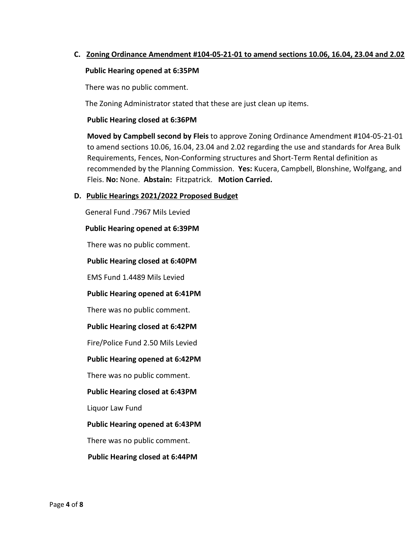## **C. Zoning Ordinance Amendment #104-05-21-01 to amend sections 10.06, 16.04, 23.04 and 2.02**

#### **Public Hearing opened at 6:35PM**

There was no public comment.

The Zoning Administrator stated that these are just clean up items.

#### **Public Hearing closed at 6:36PM**

 **Moved by Campbell second by Fleis** to approve Zoning Ordinance Amendment #104-05-21-01 to amend sections 10.06, 16.04, 23.04 and 2.02 regarding the use and standards for Area Bulk Requirements, Fences, Non-Conforming structures and Short-Term Rental definition as recommended by the Planning Commission. **Yes:** Kucera, Campbell, Blonshine, Wolfgang, and Fleis. **No:** None. **Abstain:** Fitzpatrick. **Motion Carried.**

## **D. Public Hearings 2021/2022 Proposed Budget**

General Fund .7967 Mils Levied

#### **Public Hearing opened at 6:39PM**

There was no public comment.

#### **Public Hearing closed at 6:40PM**

EMS Fund 1.4489 Mils Levied

#### **Public Hearing opened at 6:41PM**

There was no public comment.

#### **Public Hearing closed at 6:42PM**

Fire/Police Fund 2.50 Mils Levied

## **Public Hearing opened at 6:42PM**

There was no public comment.

#### **Public Hearing closed at 6:43PM**

Liquor Law Fund

#### **Public Hearing opened at 6:43PM**

There was no public comment.

#### **Public Hearing closed at 6:44PM**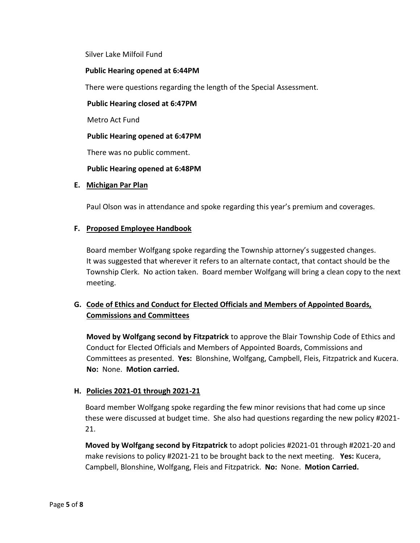Silver Lake Milfoil Fund

### **Public Hearing opened at 6:44PM**

There were questions regarding the length of the Special Assessment.

**Public Hearing closed at 6:47PM**

Metro Act Fund

**Public Hearing opened at 6:47PM**

There was no public comment.

## **Public Hearing opened at 6:48PM**

### **E. Michigan Par Plan**

Paul Olson was in attendance and spoke regarding this year's premium and coverages.

## **F. Proposed Employee Handbook**

Board member Wolfgang spoke regarding the Township attorney's suggested changes. It was suggested that wherever it refers to an alternate contact, that contact should be the Township Clerk. No action taken. Board member Wolfgang will bring a clean copy to the next meeting.

# **G. Code of Ethics and Conduct for Elected Officials and Members of Appointed Boards, Commissions and Committees**

**Moved by Wolfgang second by Fitzpatrick** to approve the Blair Township Code of Ethics and Conduct for Elected Officials and Members of Appointed Boards, Commissions and Committees as presented. **Yes:** Blonshine, Wolfgang, Campbell, Fleis, Fitzpatrick and Kucera. **No:** None. **Motion carried.**

## **H. Policies 2021-01 through 2021-21**

 Board member Wolfgang spoke regarding the few minor revisions that had come up since these were discussed at budget time. She also had questions regarding the new policy #2021- 21.

 **Moved by Wolfgang second by Fitzpatrick** to adopt policies #2021-01 through #2021-20 and make revisions to policy #2021-21 to be brought back to the next meeting. **Yes:** Kucera, Campbell, Blonshine, Wolfgang, Fleis and Fitzpatrick. **No:** None. **Motion Carried.**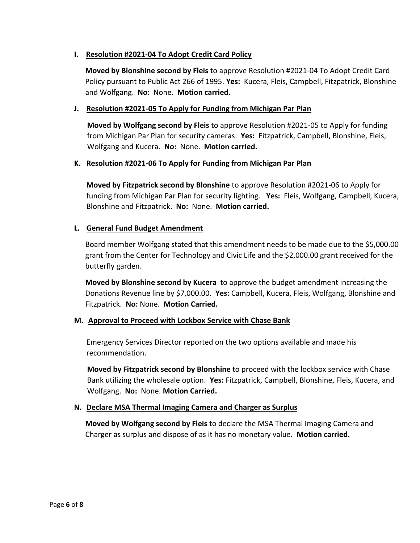## **I. Resolution #2021-04 To Adopt Credit Card Policy**

 **Moved by Blonshine second by Fleis** to approve Resolution #2021-04 To Adopt Credit Card Policy pursuant to Public Act 266 of 1995. **Yes:** Kucera, Fleis, Campbell, Fitzpatrick, Blonshine and Wolfgang. **No:** None. **Motion carried.**

## **J. Resolution #2021-05 To Apply for Funding from Michigan Par Plan**

 **Moved by Wolfgang second by Fleis** to approve Resolution #2021-05 to Apply for funding from Michigan Par Plan for security cameras. **Yes:** Fitzpatrick, Campbell, Blonshine, Fleis, Wolfgang and Kucera. **No:** None. **Motion carried.**

## **K. Resolution #2021-06 To Apply for Funding from Michigan Par Plan**

**Moved by Fitzpatrick second by Blonshine** to approve Resolution #2021-06 to Apply for funding from Michigan Par Plan for security lighting. **Yes:** Fleis, Wolfgang, Campbell, Kucera, Blonshine and Fitzpatrick. **No:** None. **Motion carried.**

## **L. General Fund Budget Amendment**

 Board member Wolfgang stated that this amendment needs to be made due to the \$5,000.00 grant from the Center for Technology and Civic Life and the \$2,000.00 grant received for the butterfly garden.

 **Moved by Blonshine second by Kucera** to approve the budget amendment increasing the Donations Revenue line by \$7,000.00. **Yes:** Campbell, Kucera, Fleis, Wolfgang, Blonshine and Fitzpatrick. **No:** None. **Motion Carried.**

## **M. Approval to Proceed with Lockbox Service with Chase Bank**

Emergency Services Director reported on the two options available and made his recommendation.

 **Moved by Fitzpatrick second by Blonshine** to proceed with the lockbox service with Chase Bank utilizing the wholesale option. **Yes:** Fitzpatrick, Campbell, Blonshine, Fleis, Kucera, and Wolfgang. **No:** None. **Motion Carried.**

## **N. Declare MSA Thermal Imaging Camera and Charger as Surplus**

 **Moved by Wolfgang second by Fleis** to declare the MSA Thermal Imaging Camera and Charger as surplus and dispose of as it has no monetary value. **Motion carried.**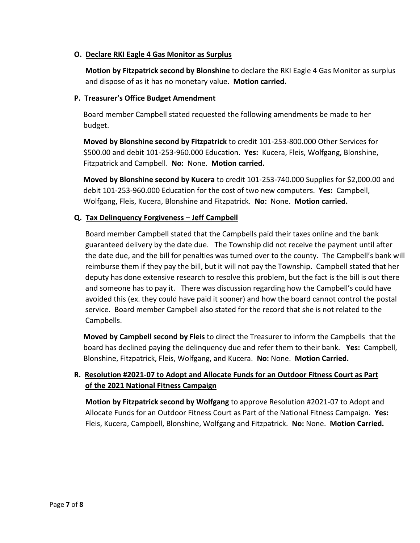## **O. Declare RKI Eagle 4 Gas Monitor as Surplus**

 **Motion by Fitzpatrick second by Blonshine** to declare the RKI Eagle 4 Gas Monitor as surplus and dispose of as it has no monetary value. **Motion carried.**

## **P. Treasurer's Office Budget Amendment**

Board member Campbell stated requested the following amendments be made to her budget.

 **Moved by Blonshine second by Fitzpatrick** to credit 101-253-800.000 Other Services for \$500.00 and debit 101-253-960.000 Education. **Yes:** Kucera, Fleis, Wolfgang, Blonshine, Fitzpatrick and Campbell. **No:** None. **Motion carried.**

 **Moved by Blonshine second by Kucera** to credit 101-253-740.000 Supplies for \$2,000.00 and debit 101-253-960.000 Education for the cost of two new computers. **Yes:** Campbell, Wolfgang, Fleis, Kucera, Blonshine and Fitzpatrick. **No:** None. **Motion carried.**

## **Q. Tax Delinquency Forgiveness – Jeff Campbell**

Board member Campbell stated that the Campbells paid their taxes online and the bank guaranteed delivery by the date due. The Township did not receive the payment until after the date due, and the bill for penalties was turned over to the county. The Campbell's bank will reimburse them if they pay the bill, but it will not pay the Township. Campbell stated that her deputy has done extensive research to resolve this problem, but the fact is the bill is out there and someone has to pay it. There was discussion regarding how the Campbell's could have avoided this (ex. they could have paid it sooner) and how the board cannot control the postal service. Board member Campbell also stated for the record that she is not related to the Campbells.

 **Moved by Campbell second by Fleis** to direct the Treasurer to inform the Campbells that the board has declined paying the delinquency due and refer them to their bank. **Yes:** Campbell, Blonshine, Fitzpatrick, Fleis, Wolfgang, and Kucera. **No:** None. **Motion Carried.**

# **R. Resolution #2021-07 to Adopt and Allocate Funds for an Outdoor Fitness Court as Part of the 2021 National Fitness Campaign**

 **Motion by Fitzpatrick second by Wolfgang** to approve Resolution #2021-07 to Adopt and Allocate Funds for an Outdoor Fitness Court as Part of the National Fitness Campaign. **Yes:** Fleis, Kucera, Campbell, Blonshine, Wolfgang and Fitzpatrick. **No:** None. **Motion Carried.**